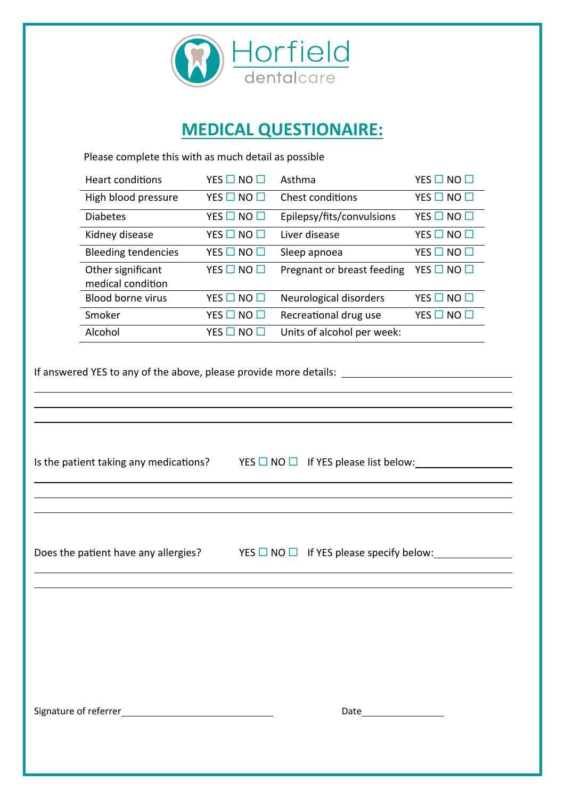

## **MEDICAL QUESTIONAIRE:**

Please complete this with as much detail as possible

| Heart conditions                       | YES $\square$ NO $\square$ | Asthma                     | YES $\square$ NO $\square$ |
|----------------------------------------|----------------------------|----------------------------|----------------------------|
| High blood pressure                    | YES $\square$ NO $\square$ | Chest conditions           | YES $\square$ NO $\square$ |
| <b>Diabetes</b>                        | YES $\square$ NO $\square$ | Epilepsy/fits/convulsions  | YES $\square$ NO $\square$ |
| Kidney disease                         | YES $\square$ NO $\square$ | Liver disease              | YES $\square$ NO $\square$ |
| <b>Bleeding tendencies</b>             | YES $\square$ NO $\square$ | Sleep apnoea               | YES $\square$ NO $\square$ |
| Other significant<br>medical condition | YES $\square$ NO $\square$ | Pregnant or breast feeding | YES $\square$ NO $\square$ |
| <b>Blood borne virus</b>               | YES $\square$ NO $\square$ | Neurological disorders     | YES $\square$ NO $\square$ |
| Smoker                                 | YFS $\square$ NO $\square$ | Recreational drug use      | YES $\square$ NO $\square$ |
| Alcohol                                | YFS.                       | Units of alcohol per week: |                            |

If answered YES to any of the above, please provide more details:

Is the patient taking any medications? YES  $\square$  NO  $\square$  If YES please list below:

Does the patient have any allergies? YES NO If YES please specify below:

Signature of referrer <u>experimental and the set of the set of the Date</u>